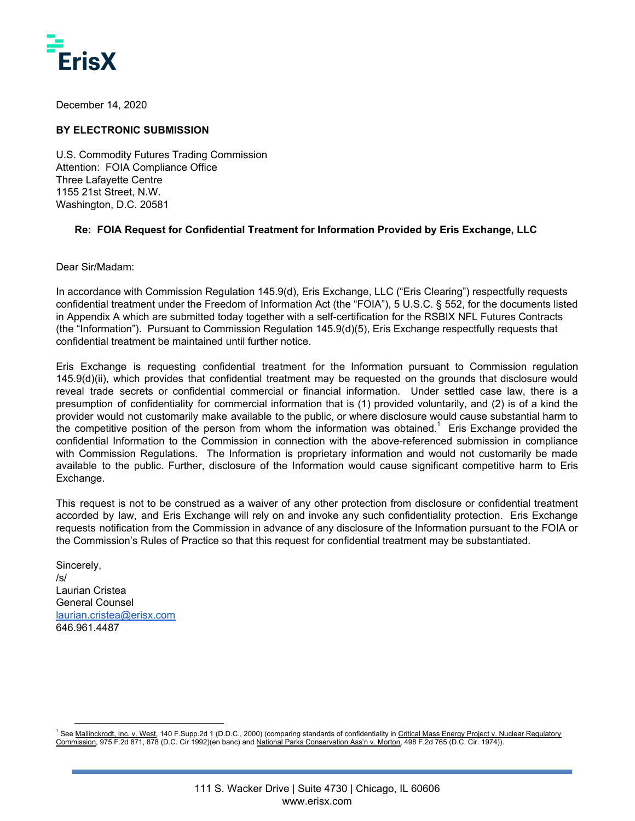

December 14, 2020

## **BY ELECTRONIC SUBMISSION**

U.S. Commodity Futures Trading Commission Attention: FOIA Compliance Office Three Lafayette Centre 1155 21st Street, N.W. Washington, D.C. 20581

## **Re: FOIA Request for Confidential Treatment for Information Provided by Eris Exchange, LLC**

Dear Sir/Madam:

In accordance with Commission Regulation 145.9(d), Eris Exchange, LLC ("Eris Clearing") respectfully requests confidential treatment under the Freedom of Information Act (the "FOIA"), 5 U.S.C. § 552, for the documents listed in Appendix A which are submitted today together with a self-certification for the RSBIX NFL Futures Contracts (the "Information"). Pursuant to Commission Regulation 145.9(d)(5), Eris Exchange respectfully requests that confidential treatment be maintained until further notice.

Eris Exchange is requesting confidential treatment for the Information pursuant to Commission regulation 145.9(d)(ii), which provides that confidential treatment may be requested on the grounds that disclosure would reveal trade secrets or confidential commercial or financial information. Under settled case law, there is a presumption of confidentiality for commercial information that is (1) provided voluntarily, and (2) is of a kind the provider would not customarily make available to the public, or where disclosure would cause substantial harm to the competitive position of the person from whom the information was obtained.<sup>1</sup> Eris Exchange provided the confidential Information to the Commission in connection with the above-referenced submission in compliance with Commission Regulations. The Information is proprietary information and would not customarily be made available to the public. Further, disclosure of the Information would cause significant competitive harm to Eris Exchange.

This request is not to be construed as a waiver of any other protection from disclosure or confidential treatment accorded by law, and Eris Exchange will rely on and invoke any such confidentiality protection. Eris Exchange requests notification from the Commission in advance of any disclosure of the Information pursuant to the FOIA or the Commission's Rules of Practice so that this request for confidential treatment may be substantiated.

Sincerely, /s/ Laurian Cristea General Counsel [laurian.cristea@erisx.com](mailto:laurian.cristea@erisx.com) 646.961.4487

<sup>&</sup>lt;sup>1</sup> See Mallinckrodt, Inc. v. West, 140 F.Supp.2d 1 (D.D.C., 2000) (comparing standards of confidentiality in Critical Mass Energy Project v. Nuclear Regulatory Commission, 975 F.2d 871, 878 (D.C. Cir 1992)(en banc) and National Parks Conservation Ass'n v. Morton, 498 F.2d 765 (D.C. Cir. 1974)).